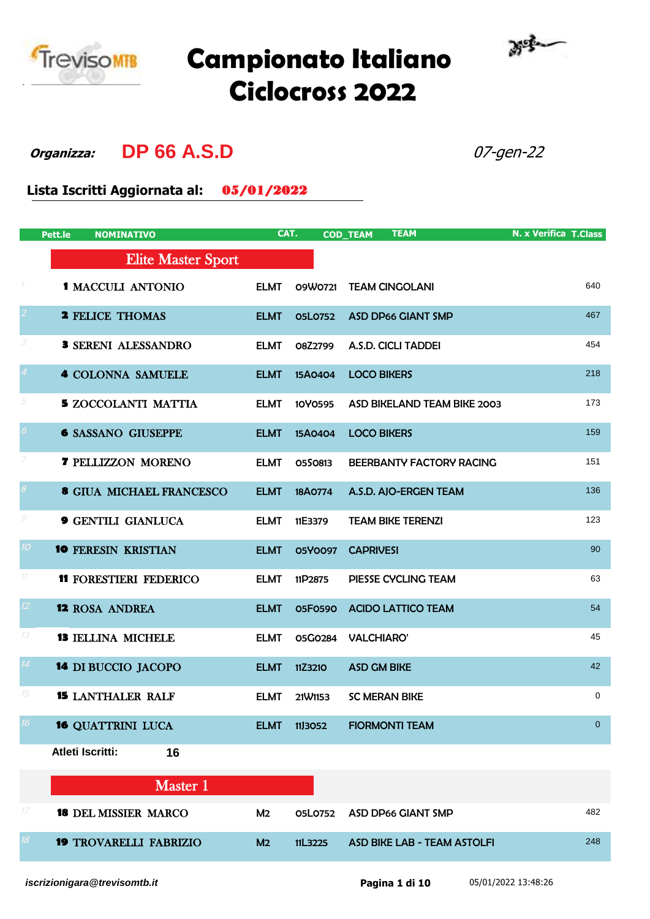

## **Campionato Italiano Ciclocross 2022**



**Organizza: DP 66 A.S.D** 07-gen-22

**Lista Iscritti Aggiornata al:** 05/01/2022

|                            | Pett.le<br><b>NOMINATIVO</b>    | CAT.           |                | <b>TEAM</b><br><b>COD_TEAM</b>     | <b>N. x Verifica T.Class</b> |
|----------------------------|---------------------------------|----------------|----------------|------------------------------------|------------------------------|
|                            | <b>Elite Master Sport</b>       |                |                |                                    |                              |
| $\cal I$                   | <b>1 MACCULI ANTONIO</b>        | <b>ELMT</b>    | 09W0721        | <b>TEAM CINGOLANI</b>              | 640                          |
|                            | <b>2 FELICE THOMAS</b>          | <b>ELMT</b>    | <b>05L0752</b> | <b>ASD DP66 GIANT SMP</b>          | 467                          |
| 3                          | <b>3 SERENI ALESSANDRO</b>      | <b>ELMT</b>    | O8Z2799        | A.S.D. CICLI TADDEI                | 454                          |
|                            | <b>4 COLONNA SAMUELE</b>        | <b>ELMT</b>    | 15A0404        | <b>LOCO BIKERS</b>                 | 218                          |
| 5                          | <b>5 ZOCCOLANTI MATTIA</b>      | <b>ELMT</b>    | 10Y0595        | ASD BIKELAND TEAM BIKE 2003        | 173                          |
| $\boldsymbol{\delta}$      | <b>6 SASSANO GIUSEPPE</b>       | <b>ELMT</b>    | 15A0404        | <b>LOCO BIKERS</b>                 | 159                          |
| 7                          | <b>7 PELLIZZON MORENO</b>       | <b>ELMT</b>    | 0550813        | BEERBANTY FACTORY RACING           | 151                          |
| $\boldsymbol{\mathcal{S}}$ | <b>8 GIUA MICHAEL FRANCESCO</b> | <b>ELMT</b>    | 18A0774        | A.S.D. AJO-ERGEN TEAM              | 136                          |
| $\mathcal G$               | <b>9 GENTILI GIANLUCA</b>       | <b>ELMT</b>    | 11E3379        | <b>TEAM BIKE TERENZI</b>           | 123                          |
| 10 <sup>°</sup>            | <b>10 FERESIN KRISTIAN</b>      | <b>ELMT</b>    | 05Y0097        | <b>CAPRIVESI</b>                   | 90                           |
| $11$                       | <b>11 FORESTIERI FEDERICO</b>   | <b>ELMT</b>    | 11P2875        | PIESSE CYCLING TEAM                | 63                           |
| $12 \overline{)}$          | <b>12 ROSA ANDREA</b>           | <b>ELMT</b>    | 05F0590        | <b>ACIDO LATTICO TEAM</b>          | 54                           |
| 13                         | <b>13 IELLINA MICHELE</b>       | <b>ELMT</b>    | 05G0284        | <b>VALCHIARO'</b>                  | 45                           |
| 14 <sup>°</sup>            | <b>14 DI BUCCIO JACOPO</b>      | <b>ELMT</b>    | 11Z3210        | <b>ASD GM BIKE</b>                 | 42                           |
| 15                         | <b>15 LANTHALER RALF</b>        | <b>ELMT</b>    | 21 W1153       | <b>SC MERAN BIKE</b>               | $\mathbf 0$                  |
| 16                         | <b>16 QUATTRINI LUCA</b>        | <b>ELMT</b>    | 11,3052        | <b>FIORMONTI TEAM</b>              | $\mathbf{0}$                 |
|                            | Atleti Iscritti:<br>16          |                |                |                                    |                              |
|                            | Master 1                        |                |                |                                    |                              |
| $\ensuremath{\mathit{17}}$ | <b>18 DEL MISSIER MARCO</b>     | M <sub>2</sub> | 05L0752        | <b>ASD DP66 GIANT SMP</b>          | 482                          |
| 18                         | <b>19 TROVARELLI FABRIZIO</b>   | M <sub>2</sub> | 11L3225        | <b>ASD BIKE LAB - TEAM ASTOLFI</b> | 248                          |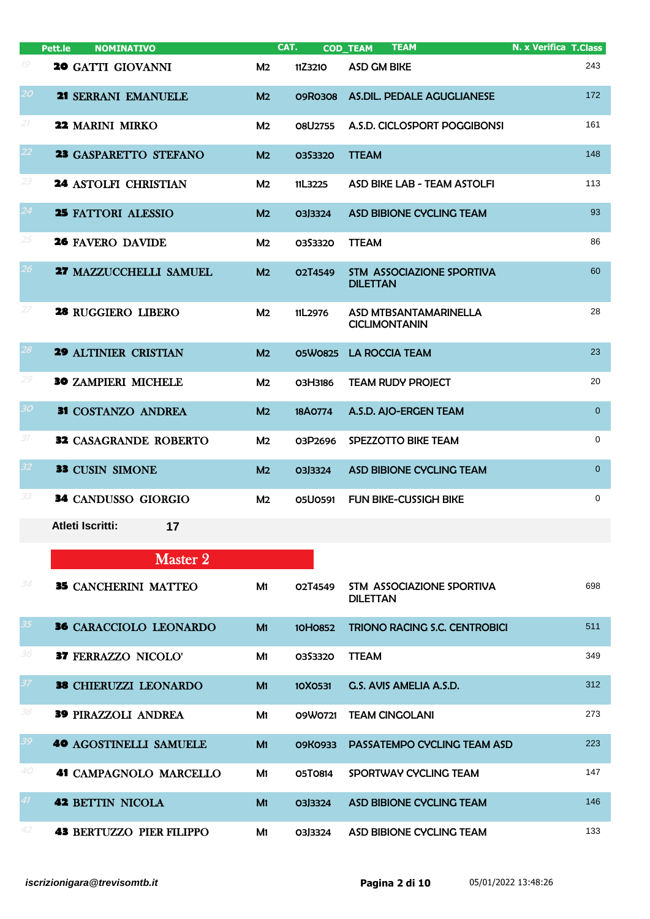|                 | <b>NOMINATIVO</b><br>Pett.le    |                | CAT.           | <b>TEAM</b><br><b>COD_TEAM</b>                      | <b>N. x Verifica T.Class</b> |
|-----------------|---------------------------------|----------------|----------------|-----------------------------------------------------|------------------------------|
| 19              | <b>20 GATTI GIOVANNI</b>        | M <sub>2</sub> | 11Z3210        | <b>ASD GM BIKE</b>                                  | 243                          |
| 20 <sup>°</sup> | 21 SERRANI EMANUELE             | M <sub>2</sub> | <b>09R0308</b> | <b>AS.DIL. PEDALE AGUGLIANESE</b>                   | 172                          |
| 21              | 22 MARINI MIRKO                 | M <sub>2</sub> | <b>08U2755</b> | A.S.D. CICLOSPORT POGGIBONSI                        | 161                          |
| 22              | 23 GASPARETTO STEFANO           | M <sub>2</sub> | 0353320        | <b>TTEAM</b>                                        | 148                          |
| 23              | <b>24 ASTOLFI CHRISTIAN</b>     | M <sub>2</sub> | 11L3225        | ASD BIKE LAB - TEAM ASTOLFI                         | 113                          |
| 24              | <b>25 FATTORI ALESSIO</b>       | M <sub>2</sub> | 03J3324        | ASD BIBIONE CYCLING TEAM                            | 93                           |
| 25              | <b>26 FAVERO DAVIDE</b>         | M <sub>2</sub> | 03S3320        | <b>TTEAM</b>                                        | 86                           |
| 26 <sub>2</sub> | <b>27 MAZZUCCHELLI SAMUEL</b>   | M <sub>2</sub> | O2T4549        | <b>STM ASSOCIAZIONE SPORTIVA</b><br><b>DILETTAN</b> | 60                           |
| 27              | 28 RUGGIERO LIBERO              | M <sub>2</sub> | 11L2976        | ASD MTBSANTAMARINELLA<br><b>CICLIMONTANIN</b>       | 28                           |
| 28              | <b>29 ALTINIER CRISTIAN</b>     | M <sub>2</sub> | 05W0825        | <b>LA ROCCIA TEAM</b>                               | 23                           |
| 29              | <b>30 ZAMPIERI MICHELE</b>      | M <sub>2</sub> | O3H3186        | <b>TEAM RUDY PROJECT</b>                            | 20                           |
| 30 <sub>1</sub> | 31 COSTANZO ANDREA              | M <sub>2</sub> | 18A0774        | A.S.D. AJO-ERGEN TEAM                               | $\overline{0}$               |
| 31              | <b>32 CASAGRANDE ROBERTO</b>    | M <sub>2</sub> | 03P2696        | SPEZZOTTO BIKE TEAM                                 | 0                            |
| 32 <sub>2</sub> | <b>33 CUSIN SIMONE</b>          | M <sub>2</sub> | 03J3324        | <b>ASD BIBIONE CYCLING TEAM</b>                     | $\mathbf{0}$                 |
| 33              | 34 CANDUSSO GIORGIO             | M <sub>2</sub> | <b>05U0591</b> | <b>FUN BIKE-CUSSIGH BIKE</b>                        | 0                            |
|                 | Atleti Iscritti:<br>17          |                |                |                                                     |                              |
|                 | Master 2                        |                |                |                                                     |                              |
| 34              | <b>35 CANCHERINI MATTEO</b>     | M1             | O2T4549        | STM ASSOCIAZIONE SPORTIVA<br><b>DILETTAN</b>        | 698                          |
| 35 <sub>5</sub> | 36 CARACCIOLO LEONARDO          | M1             | 10H0852        | <b>TRIONO RACING S.C. CENTROBICI</b>                | 511                          |
| 36              | 37 FERRAZZO NICOLO'             | M1             | 0353320        | <b>TTEAM</b>                                        | 349                          |
| 37              | 38 CHIERUZZI LEONARDO           | M1             | 10X0531        | G.S. AVIS AMELIA A.S.D.                             | 312                          |
| 38              | <b>39 PIRAZZOLI ANDREA</b>      | M1             | 09W0721        | <b>TEAM CINGOLANI</b>                               | 273                          |
| 39              | <b>40 AGOSTINELLI SAMUELE</b>   | M1             | <b>09K0933</b> | PASSATEMPO CYCLING TEAM ASD                         | 223                          |
| 40              | <b>41 CAMPAGNOLO MARCELLO</b>   | M1             | 05T0814        | SPORTWAY CYCLING TEAM                               | 147                          |
| 41              | <b>42 BETTIN NICOLA</b>         | M1             | 03J3324        | <b>ASD BIBIONE CYCLING TEAM</b>                     | 146                          |
| 42              | <b>43 BERTUZZO PIER FILIPPO</b> | M1             | 03J3324        | ASD BIBIONE CYCLING TEAM                            | 133                          |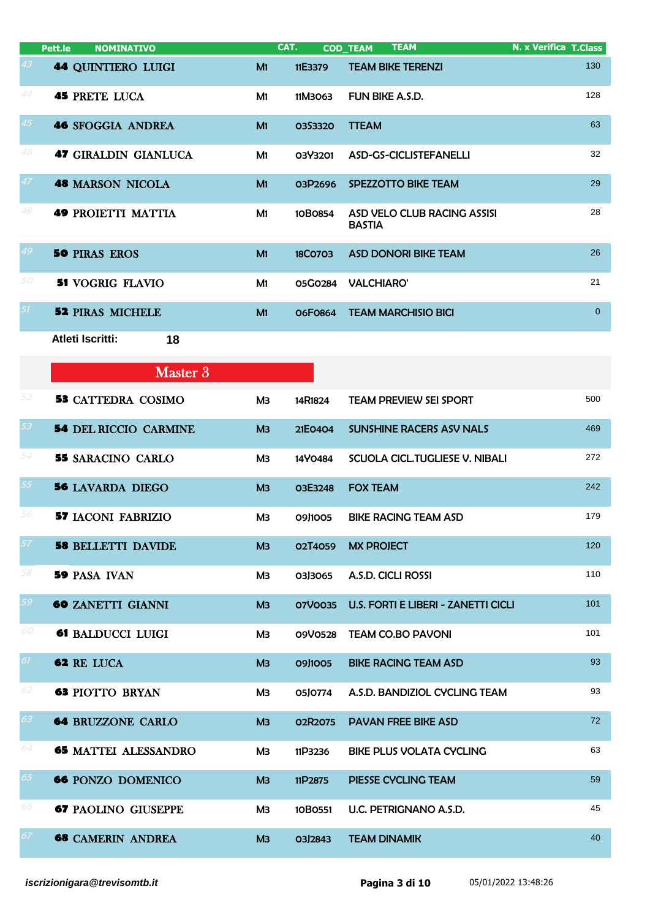|    | Pett.le<br><b>NOMINATIVO</b> |                | CAT.           | <b>COD TEAM</b><br>TEAM                      | N. x Verifica T.Class |
|----|------------------------------|----------------|----------------|----------------------------------------------|-----------------------|
| 43 | <b>44 QUINTIERO LUIGI</b>    | M1             | 11E3379        | <b>TEAM BIKE TERENZI</b>                     | 130                   |
| 44 | <b>45 PRETE LUCA</b>         | M1             | 11M3063        | FUN BIKE A.S.D.                              | 128                   |
| 45 | <b>46 SFOGGIA ANDREA</b>     | M <sub>1</sub> | <b>03S3320</b> | <b>TTEAM</b>                                 | 63                    |
| 46 | <b>47 GIRALDIN GIANLUCA</b>  | M1             | 03Y3201        | ASD-GS-CICLISTEFANELLI                       | 32                    |
| 47 | <b>48 MARSON NICOLA</b>      | M <sub>1</sub> | 03P2696        | SPEZZOTTO BIKE TEAM                          | 29                    |
| 48 | <b>49 PROIETTI MATTIA</b>    | M <sub>1</sub> | 10B0854        | ASD VELO CLUB RACING ASSISI<br><b>BASTIA</b> | 28                    |
| 49 | <b>50 PIRAS EROS</b>         | M <sub>1</sub> | <b>18CO703</b> | <b>ASD DONORI BIKE TEAM</b>                  | 26                    |
| 50 | <b>51 VOGRIG FLAVIO</b>      | M1             | 05G0284        | <b>VALCHIARO'</b>                            | 21                    |
| 51 | <b>52 PIRAS MICHELE</b>      | M <sub>1</sub> | O6F0864        | <b>TEAM MARCHISIO BICI</b>                   | $\overline{0}$        |
|    | Atleti Iscritti:<br>18       |                |                |                                              |                       |
|    | Master 3                     |                |                |                                              |                       |
| 52 | <b>53 CATTEDRA COSIMO</b>    | МЗ             | 14R1824        | <b>TEAM PREVIEW SEI SPORT</b>                | 500                   |
| 53 | <b>54 DEL RICCIO CARMINE</b> | M <sub>3</sub> | 21E0404        | <b>SUNSHINE RACERS ASV NALS</b>              | 469                   |
| 54 | <b>55 SARACINO CARLO</b>     | ΜЗ             | 14Y0484        | SCUOLA CICL. TUGLIESE V. NIBALI              | 272                   |
| 55 | <b>56 LAVARDA DIEGO</b>      | M <sub>3</sub> | O3E3248        | <b>FOX TEAM</b>                              | 242                   |
| 56 | <b>57 IACONI FABRIZIO</b>    | ΜЗ             | 09J1005        | <b>BIKE RACING TEAM ASD</b>                  | 179                   |
| 57 | <b>58 BELLETTI DAVIDE</b>    | M <sub>3</sub> | O2T4059        | <b>MX PROJECT</b>                            | 120                   |
| 58 | <b>59 PASA IVAN</b>          | МЗ             | 03J3065        | A.S.D. CICLI ROSSI                           | 110                   |
| 59 | <b>60 ZANETTI GIANNI</b>     | M <sub>3</sub> | 07V0035        | <b>U.S. FORTI E LIBERI - ZANETTI CICLI</b>   | 101                   |
| 60 | 61 BALDUCCI LUIGI            | МЗ             | 09V0528        | <b>TEAM CO.BO PAVONI</b>                     | 101                   |
| 61 | 62 RE LUCA                   | M <sub>3</sub> | 09J1005        | <b>BIKE RACING TEAM ASD</b>                  | 93                    |
| 62 | <b>63 PIOTTO BRYAN</b>       | МЗ             | 05J0774        | A.S.D. BANDIZIOL CYCLING TEAM                | 93                    |
| 63 | <b>64 BRUZZONE CARLO</b>     | M <sub>3</sub> | 02R2075        | <b>PAVAN FREE BIKE ASD</b>                   | 72                    |
| 64 | <b>65 MATTEI ALESSANDRO</b>  | МЗ             | 11P3236        | <b>BIKE PLUS VOLATA CYCLING</b>              | 63                    |
| 65 | <b>66 PONZO DOMENICO</b>     | M <sub>3</sub> | 11P2875        | <b>PIESSE CYCLING TEAM</b>                   | 59                    |
| 66 | <b>67 PAOLINO GIUSEPPE</b>   | МЗ             | 10B0551        | U.C. PETRIGNANO A.S.D.                       | 45                    |
| 67 | <b>68 CAMERIN ANDREA</b>     | M <sub>3</sub> | 03J2843        | <b>TEAM DINAMIK</b>                          | 40                    |
|    |                              |                |                |                                              |                       |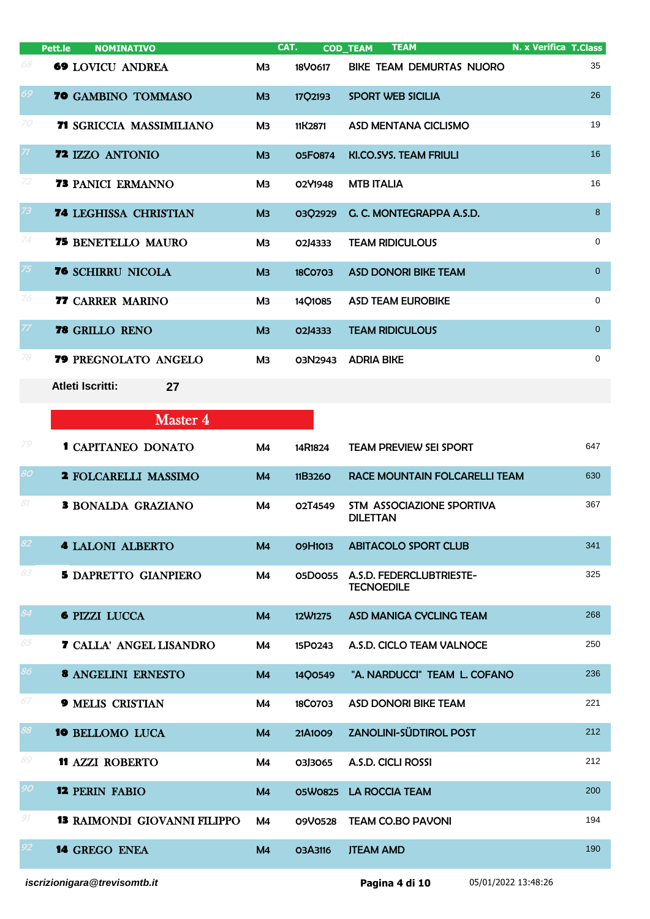|                 | <b>NOMINATIVO</b><br>Pett.le        |                | CAT.           | <b>TEAM</b><br><b>COD_TEAM</b>                | <b>N. x Verifica T.Class</b> |
|-----------------|-------------------------------------|----------------|----------------|-----------------------------------------------|------------------------------|
| 68              | <b>69 LOVICU ANDREA</b>             | ΜЗ             | 18V0617        | BIKE TEAM DEMURTAS NUORO                      | 35                           |
| 69              | <b>70 GAMBINO TOMMASO</b>           | M <sub>3</sub> | 17Q2193        | <b>SPORT WEB SICILIA</b>                      | 26                           |
| 70              | 71 SGRICCIA MASSIMILIANO            | Mз             | 11K2871        | ASD MENTANA CICLISMO                          | 19                           |
| ZI              | 72 IZZO ANTONIO                     | M <sub>3</sub> | <b>05F0874</b> | KI.CO.SYS. TEAM FRIULI                        | 16                           |
| 72              | <b>73 PANICI ERMANNO</b>            | Mз             | 02Y1948        | <b>MTB ITALIA</b>                             | 16                           |
| 73              | <b>74 LEGHISSA CHRISTIAN</b>        | M <sub>3</sub> | 03Q2929        | G. C. MONTEGRAPPA A.S.D.                      | 8                            |
| 74              | <b>75 BENETELLO MAURO</b>           | M <sub>3</sub> | 02J4333        | <b>TEAM RIDICULOUS</b>                        | $\mathbf 0$                  |
| 75              | <b>76 SCHIRRU NICOLA</b>            | M <sub>3</sub> | <b>18CO7O3</b> | <b>ASD DONORI BIKE TEAM</b>                   | $\overline{0}$               |
| 76              | <b>77 CARRER MARINO</b>             | Mз             | 14Q1085        | <b>ASD TEAM EUROBIKE</b>                      | $\mathbf 0$                  |
| 77              | 78 GRILLO RENO                      | M <sub>3</sub> | 02J4333        | <b>TEAM RIDICULOUS</b>                        | $\mathbf 0$                  |
| 78              | 79 PREGNOLATO ANGELO                | ΜЗ             | 03N2943        | <b>ADRIA BIKE</b>                             | $\mathbf 0$                  |
|                 | <b>Atleti Iscritti:</b><br>27       |                |                |                                               |                              |
|                 | <b>Master 4</b>                     |                |                |                                               |                              |
| 79              | <b>1 CAPITANEO DONATO</b>           | M4             | 14R1824        | <b>TEAM PREVIEW SEI SPORT</b>                 | 647                          |
| 80              | 2 FOLCARELLI MASSIMO                | M <sub>4</sub> | 11B3260        | RACE MOUNTAIN FOLCARELLI TEAM                 | 630                          |
| 81              | <b>3 BONALDA GRAZIANO</b>           | M4             | O2T4549        | STM ASSOCIAZIONE SPORTIVA<br><b>DILETTAN</b>  | 367                          |
| 82              | <b>4 LALONI ALBERTO</b>             | M <sub>4</sub> | 09H1013        | <b>ABITACOLO SPORT CLUB</b>                   | 341                          |
| 83              | <b>5 DAPRETTO GIANPIERO</b>         | M4             | 05D0055        | A.S.D. FEDERCLUBTRIESTE-<br><b>TECNOEDILE</b> | 325                          |
| 84              | <b>6 PIZZI LUCCA</b>                | M <sub>4</sub> | 12W1275        | ASD MANIGA CYCLING TEAM                       | 268                          |
| 85              | <b>7 CALLA' ANGEL LISANDRO</b>      | M4             | 15P0243        | A.S.D. CICLO TEAM VALNOCE                     | 250                          |
| 86              | <b>8 ANGELINI ERNESTO</b>           | M <sub>4</sub> | 14Q0549        | "A. NARDUCCI" TEAM L. COFANO                  | 236                          |
| 87              | <b>9 MELIS CRISTIAN</b>             | M4             | 18C0703        | <b>ASD DONORI BIKE TEAM</b>                   | 221                          |
| 88              | <b>10 BELLOMO LUCA</b>              | M <sub>4</sub> | 21A1009        | <b>ZANOLINI-SÜDTIROL POST</b>                 | 212                          |
| 89              | <b>11 AZZI ROBERTO</b>              | M4             | 03J3065        | A.S.D. CICLI ROSSI                            | 212                          |
| 90              | <b>12 PERIN FABIO</b>               | M <sub>4</sub> | 05W0825        | <b>LA ROCCIA TEAM</b>                         | 200                          |
| 91              | <b>13 RAIMONDI GIOVANNI FILIPPO</b> | M4             | 09V0528        | <b>TEAM CO.BO PAVONI</b>                      | 194                          |
| 92 <sub>2</sub> | <b>14 GREGO ENEA</b>                | M <sub>4</sub> | O3A3116        | <b>JTEAM AMD</b>                              | 190                          |
|                 |                                     |                |                |                                               |                              |

*iscrizionigara@trevisomtb.it* **Pagina 4 di 10** 05/01/2022 13:48:26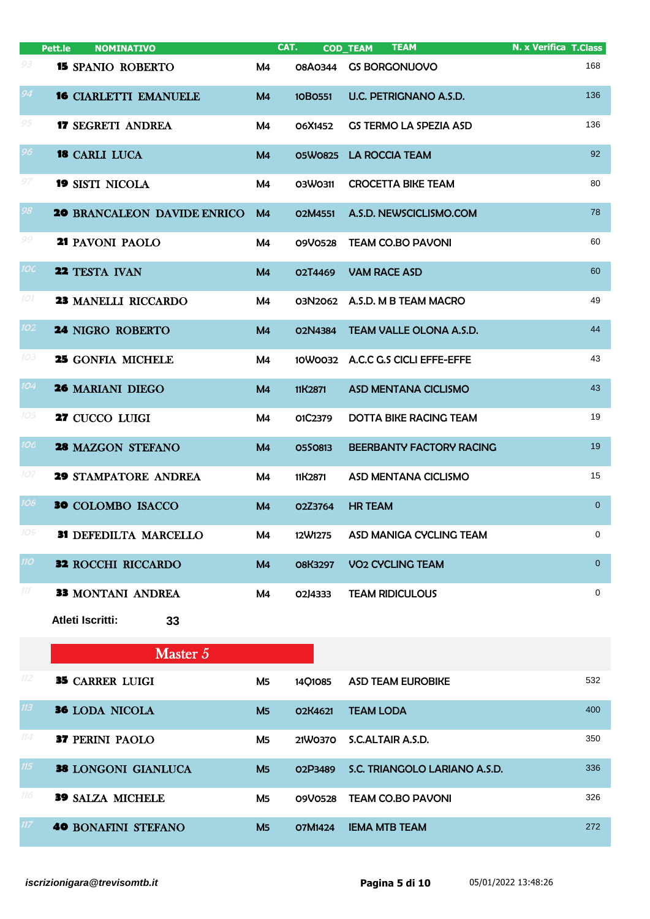|                  | <b>NOMINATIVO</b><br>Pett.le       |                | CAT.           | <b>TEAM</b><br><b>COD_TEAM</b>     | <b>N. x Verifica T.Class</b> |
|------------------|------------------------------------|----------------|----------------|------------------------------------|------------------------------|
| 93               | <b>15 SPANIO ROBERTO</b>           | M4             | <b>08A0344</b> | <b>GS BORGONUOVO</b>               | 168                          |
| 94               | <b>16 CIARLETTI EMANUELE</b>       | M <sub>4</sub> | 10B0551        | U.C. PETRIGNANO A.S.D.             | 136                          |
| 95               | <b>17 SEGRETI ANDREA</b>           | M4             | O6X1452        | <b>GS TERMO LA SPEZIA ASD</b>      | 136                          |
| 96               | <b>18 CARLI LUCA</b>               | M <sub>4</sub> | 05W0825        | <b>LA ROCCIA TEAM</b>              | 92                           |
| 97               | <b>19 SISTI NICOLA</b>             | M4             | 03W0311        | <b>CROCETTA BIKE TEAM</b>          | 80                           |
| 98               | <b>20 BRANCALEON DAVIDE ENRICO</b> | M <sub>4</sub> | O2M4551        | A.S.D. NEWSCICLISMO.COM            | 78                           |
| 99               | 21 PAVONI PAOLO                    | M4             | 09V0528        | <b>TEAM CO.BO PAVONI</b>           | 60                           |
| <b>IOC</b>       | 22 TESTA IVAN                      | M <sub>4</sub> | O2T4469        | <b>VAM RACE ASD</b>                | 60                           |
| 101              | <b>23 MANELLI RICCARDO</b>         | M4             |                | 03N2062 A.S.D. M B TEAM MACRO      | 49                           |
| 102 <sub>2</sub> | <b>24 NIGRO ROBERTO</b>            | M <sub>4</sub> | 02N4384        | <b>TEAM VALLE OLONA A.S.D.</b>     | 44                           |
| 103              | <b>25 GONFIA MICHELE</b>           | M4             |                | 10W0032 A.C.C G.S CICLI EFFE-EFFE  | 43                           |
| 104              | <b>26 MARIANI DIEGO</b>            | M <sub>4</sub> | 11K2871        | ASD MENTANA CICLISMO               | 43                           |
| 105              | 27 CUCCO LUIGI                     | M4             | 01C2379        | <b>DOTTA BIKE RACING TEAM</b>      | 19                           |
| 106              | 28 MAZGON STEFANO                  | M <sub>4</sub> | 0550813        | BEERBANTY FACTORY RACING           | 19                           |
| 107              | <b>29 STAMPATORE ANDREA</b>        | M4             | 11K2871        | ASD MENTANA CICLISMO               | 15                           |
| 108              | <b>30</b> COLOMBO ISACCO           | M <sub>4</sub> | O2Z3764        | <b>HR TEAM</b>                     | $\overline{0}$               |
| 109              | 31 DEFEDILTA MARCELLO              | M4             | 12W1275        | ASD MANIGA CYCLING TEAM            | 0                            |
| 110              | <b>32 ROCCHI RICCARDO</b>          | M <sub>4</sub> | <b>08K3297</b> | <b>VO<sub>2</sub> CYCLING TEAM</b> | $\overline{0}$               |
| 111              | <b>33 MONTANI ANDREA</b>           | M4             | 02J4333        | <b>TEAM RIDICULOUS</b>             | 0                            |
|                  | Atleti Iscritti:<br>33             |                |                |                                    |                              |
|                  | Master 5                           |                |                |                                    |                              |
| 112              | <b>35 CARRER LUIGI</b>             | M <sub>5</sub> | 14Q1085        | <b>ASD TEAM EUROBIKE</b>           | 532                          |
| 113              | <b>36 LODA NICOLA</b>              | M <sub>5</sub> | O2K4621        | <b>TEAM LODA</b>                   | 400                          |
| 114              | <b>37 PERINI PAOLO</b>             | M <sub>5</sub> | 21W0370        | S.C.ALTAIR A.S.D.                  | 350                          |
| 115              | <b>38 LONGONI GIANLUCA</b>         | M <sub>5</sub> | 02P3489        | S.C. TRIANGOLO LARIANO A.S.D.      | 336                          |
| 116              | <b>39 SALZA MICHELE</b>            | M <sub>5</sub> | 09V0528        | <b>TEAM CO.BO PAVONI</b>           | 326                          |
| 117 <sub>1</sub> | <b>40 BONAFINI STEFANO</b>         | M <sub>5</sub> | 07M1424        | <b>IEMA MTB TEAM</b>               | 272                          |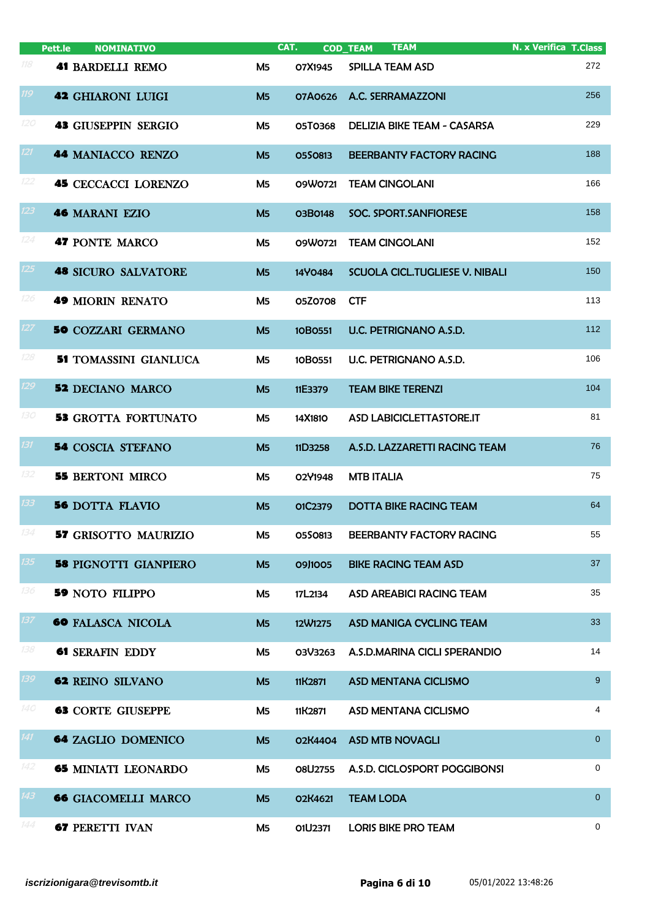|     | <b>NOMINATIVO</b><br>Pett.le |                | CAT.    | <b>TEAM</b><br><b>COD_TEAM</b>        | <b>N. x Verifica T.Class</b> |
|-----|------------------------------|----------------|---------|---------------------------------------|------------------------------|
| 118 | <b>41 BARDELLI REMO</b>      | M <sub>5</sub> | O7X1945 | <b>SPILLA TEAM ASD</b>                | 272                          |
| 119 | <b>42 GHIARONI LUIGI</b>     | M <sub>5</sub> | 07A0626 | A.C. SERRAMAZZONI                     | 256                          |
| 120 | <b>43 GIUSEPPIN SERGIO</b>   | M <sub>5</sub> | 05T0368 | DELIZIA BIKE TEAM - CASARSA           | 229                          |
| 121 | 44 MANIACCO RENZO            | M <sub>5</sub> | 0550813 | BEERBANTY FACTORY RACING              | 188                          |
| 122 | <b>45 CECCACCI LORENZO</b>   | M <sub>5</sub> | 09W0721 | <b>TEAM CINGOLANI</b>                 | 166                          |
| 123 | <b>46 MARANI EZIO</b>        | M <sub>5</sub> | 03B0148 | SOC. SPORT.SANFIORESE                 | 158                          |
| 124 | 47 PONTE MARCO               | M <sub>5</sub> | 09W0721 | <b>TEAM CINGOLANI</b>                 | 152                          |
| 125 | <b>48 SICURO SALVATORE</b>   | M <sub>5</sub> | 14Y0484 | <b>SCUOLA CICL.TUGLIESE V. NIBALI</b> | 150                          |
| 126 | <b>49 MIORIN RENATO</b>      | M <sub>5</sub> | 05Z0708 | <b>CTF</b>                            | 113                          |
| 127 | <b>50 COZZARI GERMANO</b>    | M <sub>5</sub> | 10B0551 | U.C. PETRIGNANO A.S.D.                | 112                          |
| 128 | <b>51 TOMASSINI GIANLUCA</b> | M <sub>5</sub> | 10B0551 | U.C. PETRIGNANO A.S.D.                | 106                          |
| 129 | <b>52 DECIANO MARCO</b>      | M <sub>5</sub> | 11E3379 | <b>TEAM BIKE TERENZI</b>              | 104                          |
| 130 | <b>53 GROTTA FORTUNATO</b>   | <b>M5</b>      | 14X1810 | ASD LABICICLETTASTORE.IT              | 81                           |
| 131 | <b>54 COSCIA STEFANO</b>     | M <sub>5</sub> | 11D3258 | A.S.D. LAZZARETTI RACING TEAM         | 76                           |
| 132 | <b>55 BERTONI MIRCO</b>      | M <sub>5</sub> | 02Y1948 | <b>MTB ITALIA</b>                     | 75                           |
| 133 | <b>56 DOTTA FLAVIO</b>       | M <sub>5</sub> | O1C2379 | <b>DOTTA BIKE RACING TEAM</b>         | 64                           |
| 134 | <b>57 GRISOTTO MAURIZIO</b>  | M5             | 0550813 | BEERBANTY FACTORY RACING              | 55                           |
| 135 | <b>58 PIGNOTTI GIANPIERO</b> | M <sub>5</sub> | 09J1005 | <b>BIKE RACING TEAM ASD</b>           | 37                           |
| 136 | <b>59 NOTO FILIPPO</b>       | M5             | 17L2134 | <b>ASD AREABICI RACING TEAM</b>       | 35                           |
| 137 | <b>60 FALASCA NICOLA</b>     | M <sub>5</sub> | 12W1275 | ASD MANIGA CYCLING TEAM               | 33                           |
| 138 | <b>61 SERAFIN EDDY</b>       | M5             | 03V3263 | A.S.D.MARINA CICLI SPERANDIO          | 14                           |
| 139 | <b>62 REINO SILVANO</b>      | M <sub>5</sub> | 11K2871 | <b>ASD MENTANA CICLISMO</b>           | 9                            |
| 140 | <b>63 CORTE GIUSEPPE</b>     | M5             | 11K2871 | ASD MENTANA CICLISMO                  | 4                            |
| 141 | <b>64 ZAGLIO DOMENICO</b>    | M <sub>5</sub> | 02K4404 | <b>ASD MTB NOVAGLI</b>                | $\overline{0}$               |
| 142 | <b>65 MINIATI LEONARDO</b>   | M5             | 08U2755 | A.S.D. CICLOSPORT POGGIBONSI          | 0                            |
| 143 | <b>66 GIACOMELLI MARCO</b>   | M <sub>5</sub> | O2K4621 | <b>TEAM LODA</b>                      | $\overline{0}$               |
| 144 | <b>67 PERETTI IVAN</b>       | M5             | 01U2371 | <b>LORIS BIKE PRO TEAM</b>            | 0                            |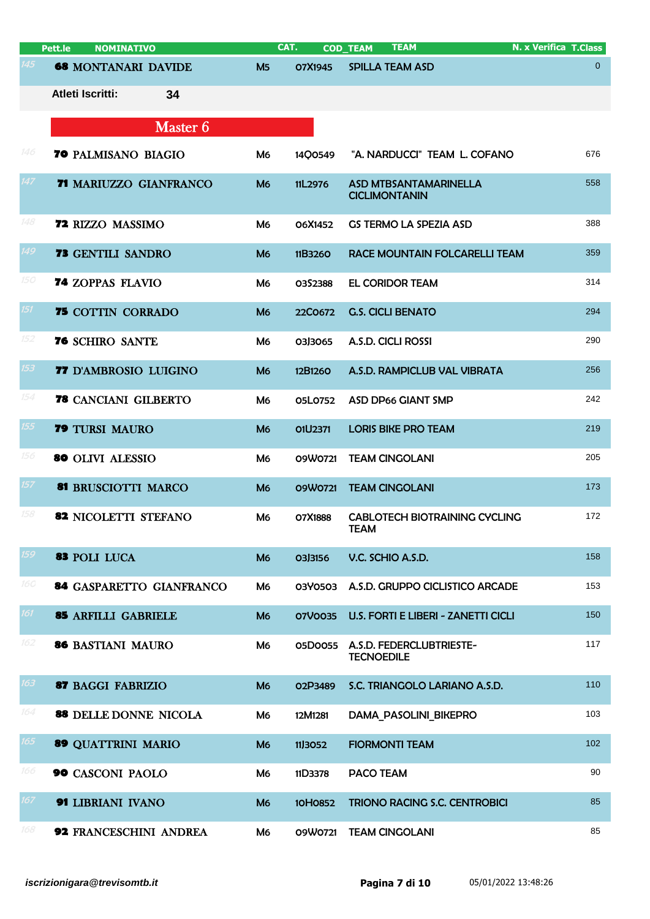|     | <b>NOMINATIVO</b><br>Pett.le |                | CAT.    | <b>TEAM</b><br><b>COD_TEAM</b>                       | N. x Verifica T.Class |
|-----|------------------------------|----------------|---------|------------------------------------------------------|-----------------------|
| 145 | <b>68 MONTANARI DAVIDE</b>   | M <sub>5</sub> | O7X1945 | <b>SPILLA TEAM ASD</b>                               | $\overline{0}$        |
|     | Atleti Iscritti:<br>34       |                |         |                                                      |                       |
|     | Master 6                     |                |         |                                                      |                       |
| 146 | 70 PALMISANO BIAGIO          | M <sub>6</sub> | 1400549 | "A. NARDUCCI" TEAM L. COFANO                         | 676                   |
| 147 | 71 MARIUZZO GIANFRANCO       | M <sub>6</sub> | 11L2976 | <b>ASD MTBSANTAMARINELLA</b><br><b>CICLIMONTANIN</b> | 558                   |
| 148 | <b>72 RIZZO MASSIMO</b>      | M <sub>6</sub> | O6X1452 | <b>GS TERMO LA SPEZIA ASD</b>                        | 388                   |
| 149 | <b>73 GENTILI SANDRO</b>     | M <sub>6</sub> | 11B3260 | RACE MOUNTAIN FOLCARELLI TEAM                        | 359                   |
| 150 | <b>74 ZOPPAS FLAVIO</b>      | M <sub>6</sub> | 0352388 | <b>EL CORIDOR TEAM</b>                               | 314                   |
| 151 | <b>75 COTTIN CORRADO</b>     | M <sub>6</sub> | 22C0672 | <b>G.S. CICLI BENATO</b>                             | 294                   |
| 152 | 76 SCHIRO SANTE              | M <sub>6</sub> | 03J3065 | A.S.D. CICLI ROSSI                                   | 290                   |
| 153 | 77 D'AMBROSIO LUIGINO        | M <sub>6</sub> | 12B1260 | A.S.D. RAMPICLUB VAL VIBRATA                         | 256                   |
| 154 | <b>78</b> CANCIANI GILBERTO  | M <sub>6</sub> | 05L0752 | <b>ASD DP66 GIANT SMP</b>                            | 242                   |
| 155 | <b>79 TURSI MAURO</b>        | M <sub>6</sub> | O1U2371 | <b>LORIS BIKE PRO TEAM</b>                           | 219                   |
| 156 | <b>80 OLIVI ALESSIO</b>      | M <sub>6</sub> | 09W0721 | <b>TEAM CINGOLANI</b>                                | 205                   |
| 157 | 81 BRUSCIOTTI MARCO          | M <sub>6</sub> | 09W0721 | <b>TEAM CINGOLANI</b>                                | 173                   |
| 158 | <b>82 NICOLETTI STEFANO</b>  | M <sub>6</sub> | O7X1888 | <b>CABLOTECH BIOTRAINING CYCLING</b><br><b>TEAM</b>  | 172                   |
| 159 | 83 POLI LUCA                 | M <sub>6</sub> | 03J3156 | V.C. SCHIO A.S.D.                                    | 158                   |
| 16C | 84 GASPARETTO GIANFRANCO     | M <sub>6</sub> | 03Y0503 | A.S.D. GRUPPO CICLISTICO ARCADE                      | 153                   |
| 161 | <b>85 ARFILLI GABRIELE</b>   | M <sub>6</sub> | 07V0035 | <b>U.S. FORTI E LIBERI - ZANETTI CICLI</b>           | 150                   |
| 162 | 86 BASTIANI MAURO            | M <sub>6</sub> | 05D0055 | A.S.D. FEDERCLUBTRIESTE-<br><b>TECNOEDILE</b>        | 117                   |
| 163 | <b>87 BAGGI FABRIZIO</b>     | M <sub>6</sub> | O2P3489 | S.C. TRIANGOLO LARIANO A.S.D.                        | 110                   |
| 164 | 88 DELLE DONNE NICOLA        | M6             | 12M1281 | DAMA PASOLINI BIKEPRO                                | 103                   |
| 165 | 89 QUATTRINI MARIO           | M <sub>6</sub> | 11,3052 | <b>FIORMONTI TEAM</b>                                | 102                   |
| 166 | 90 CASCONI PAOLO             | M <sub>6</sub> | 11D3378 | <b>PACO TEAM</b>                                     | 90                    |
| 167 | 91 LIBRIANI IVANO            | M <sub>6</sub> | 10H0852 | <b>TRIONO RACING S.C. CENTROBICI</b>                 | 85                    |
| 168 | 92 FRANCESCHINI ANDREA       | M6             | 09W0721 | <b>TEAM CINGOLANI</b>                                | 85                    |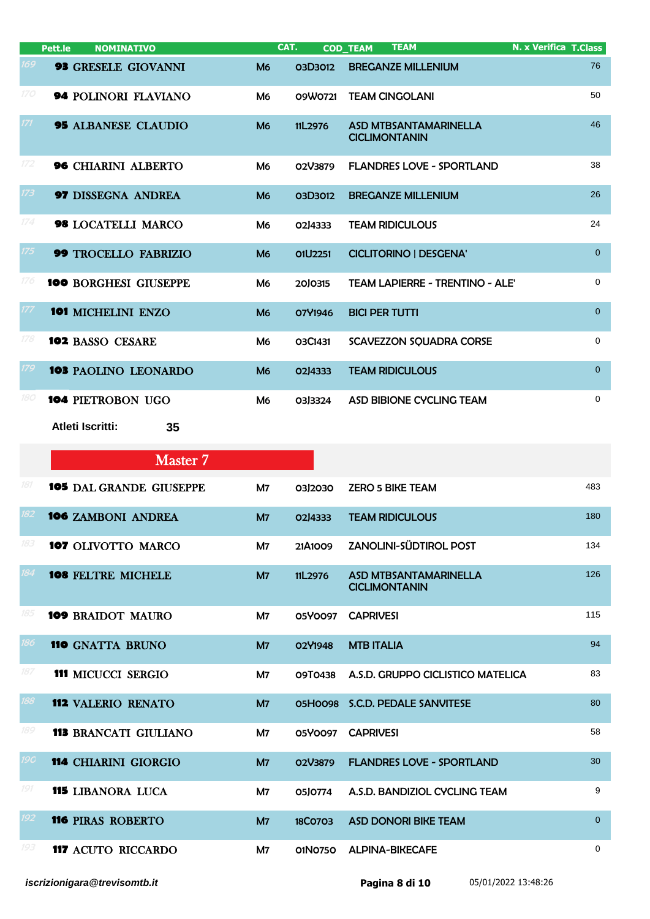|     | <b>NOMINATIVO</b><br>Pett.le  |                      | CAT.           | <b>TEAM</b><br><b>COD_TEAM</b>                       | <b>N. x Verifica T.Class</b> |
|-----|-------------------------------|----------------------|----------------|------------------------------------------------------|------------------------------|
| 169 | <b>93 GRESELE GIOVANNI</b>    | M <sub>6</sub>       | <b>03D3012</b> | <b>BREGANZE MILLENIUM</b>                            | 76                           |
| 170 | <b>94 POLINORI FLAVIANO</b>   | M <sub>6</sub>       | 09W0721        | <b>TEAM CINGOLANI</b>                                | 50                           |
| 171 | <b>95 ALBANESE CLAUDIO</b>    | <b>M<sub>6</sub></b> | 11L2976        | <b>ASD MTBSANTAMARINELLA</b><br><b>CICLIMONTANIN</b> | 46                           |
| 172 | <b>96 CHIARINI ALBERTO</b>    | M6                   | O2V3879        | <b>FLANDRES LOVE - SPORTLAND</b>                     | 38                           |
| 173 | <b>97 DISSEGNA ANDREA</b>     | <b>M<sub>6</sub></b> | 03D3012        | <b>BREGANZE MILLENIUM</b>                            | 26                           |
| 174 | 98 LOCATELLI MARCO            | M <sub>6</sub>       | 02J4333        | <b>TEAM RIDICULOUS</b>                               | 24                           |
| 175 | <b>99 TROCELLO FABRIZIO</b>   | M <sub>6</sub>       | O1U2251        | <b>CICLITORINO   DESGENA'</b>                        | $\overline{0}$               |
| 176 | <b>100 BORGHESI GIUSEPPE</b>  | M <sub>6</sub>       | 2010315        | <b>TEAM LAPIERRE - TRENTINO - ALE'</b>               | $\mathbf 0$                  |
| 177 | <b>101 MICHELINI ENZO</b>     | M <sub>6</sub>       | O7Y1946        | <b>BICI PER TUTTI</b>                                | $\overline{0}$               |
| 178 | <b>102 BASSO CESARE</b>       | M <sub>6</sub>       | O3C1431        | SCAVEZZON SQUADRA CORSE                              | $\mathbf 0$                  |
| 179 | <b>103 PAOLINO LEONARDO</b>   | M <sub>6</sub>       | 02J4333        | <b>TEAM RIDICULOUS</b>                               | $\overline{0}$               |
| 180 | <b>104 PIETROBON UGO</b>      | M <sub>6</sub>       | 03J3324        | ASD BIBIONE CYCLING TEAM                             | $\mathbf 0$                  |
|     | <b>Atleti Iscritti:</b><br>35 |                      |                |                                                      |                              |

|            | Master 7                       |                |         |                                                      |                |
|------------|--------------------------------|----------------|---------|------------------------------------------------------|----------------|
| 181        | <b>105</b> DAL GRANDE GIUSEPPE | M7             | 03 2030 | <b>ZERO 5 BIKE TEAM</b>                              | 483            |
| 182        | <b>106 ZAMBONI ANDREA</b>      | M7             | 02J4333 | <b>TEAM RIDICULOUS</b>                               | 180            |
| 183        | 107 OLIVOTTO MARCO             | M7             | 21A1009 | <b>ZANOLINI-SÜDTIROL POST</b>                        | 134            |
| 184        | <b>108 FELTRE MICHELE</b>      | M <sub>7</sub> | 11L2976 | <b>ASD MTBSANTAMARINELLA</b><br><b>CICLIMONTANIN</b> | 126            |
| 185        | <b>109 BRAIDOT MAURO</b>       | M <sub>7</sub> | 05Y0097 | <b>CAPRIVESI</b>                                     | 115            |
| 186        | <b>110 GNATTA BRUNO</b>        | <b>M7</b>      | O2Y1948 | <b>MTB ITALIA</b>                                    | 94             |
| 187        | <b>111 MICUCCI SERGIO</b>      | M7             | O9T0438 | A.S.D. GRUPPO CICLISTICO MATELICA                    | 83             |
| 188        | <b>112 VALERIO RENATO</b>      | M <sub>7</sub> |         | 05H0098 S.C.D. PEDALE SANVITESE                      | 80             |
| 189        | <b>113 BRANCATI GIULIANO</b>   | M7             | 05Y0097 | <b>CAPRIVESI</b>                                     | 58             |
| <b>19C</b> | <b>114 CHIARINI GIORGIO</b>    | M <sub>7</sub> | O2V3879 | <b>FLANDRES LOVE - SPORTLAND</b>                     | 30             |
| 191        | <b>115 LIBANORA LUCA</b>       | M7             | 05J0774 | A.S.D. BANDIZIOL CYCLING TEAM                        | 9              |
| 192        | <b>116 PIRAS ROBERTO</b>       | M <sub>7</sub> | 18CO703 | <b>ASD DONORI BIKE TEAM</b>                          | $\overline{0}$ |
| 193        | <b>117 ACUTO RICCARDO</b>      | M7             | 01N0750 | <b>ALPINA-BIKECAFE</b>                               | $\mathbf 0$    |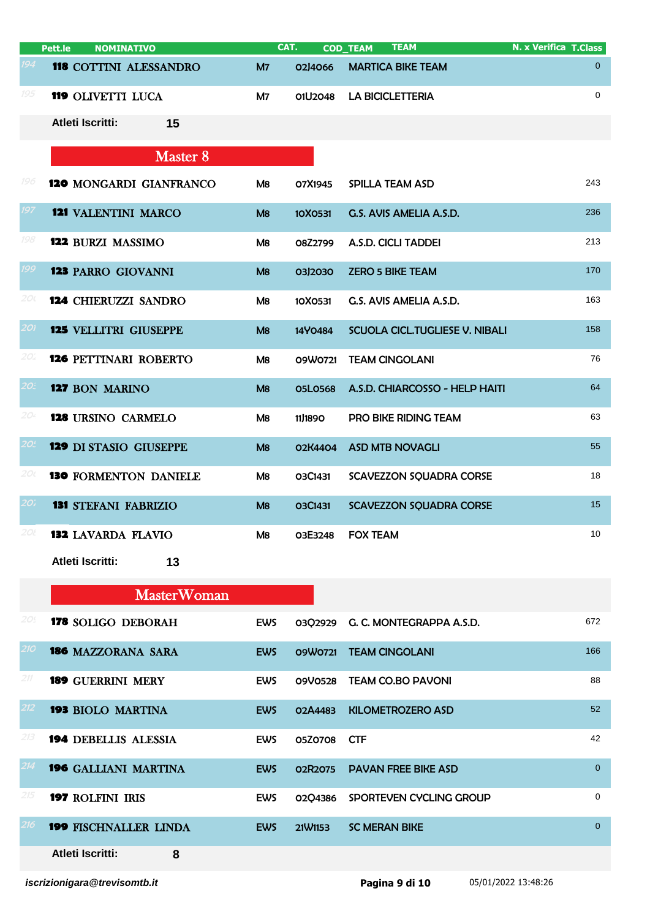|            | <b>NOMINATIVO</b><br>Pett.le  |                | CAT.           | <b>TEAM</b><br><b>COD TEAM</b>        | <b>N. x Verifica T.Class</b> |
|------------|-------------------------------|----------------|----------------|---------------------------------------|------------------------------|
| 194        | 118 COTTINI ALESSANDRO        | M <sub>7</sub> | 02J4066        | <b>MARTICA BIKE TEAM</b>              | $\overline{0}$               |
| 195        | 119 OLIVETTI LUCA             | M7             | 01U2048        | <b>LA BICICLETTERIA</b>               | $\mathbf 0$                  |
|            | <b>Atleti Iscritti:</b><br>15 |                |                |                                       |                              |
|            | Master 8                      |                |                |                                       |                              |
| 196        | 120 MONGARDI GIANFRANCO       | M8             | O7X1945        | <b>SPILLA TEAM ASD</b>                | 243                          |
| 197        | <b>121 VALENTINI MARCO</b>    | M8             | 10X0531        | G.S. AVIS AMELIA A.S.D.               | 236                          |
| 198        | 122 BURZI MASSIMO             | M8             | O8Z2799        | A.S.D. CICLI TADDEI                   | 213                          |
| 199        | <b>123 PARRO GIOVANNI</b>     | M8             | 03J2030        | <b>ZERO 5 BIKE TEAM</b>               | 170                          |
| 20 (       | <b>124 CHIERUZZI SANDRO</b>   | M8             | 10X0531        | G.S. AVIS AMELIA A.S.D.               | 163                          |
| 201        | <b>125 VELLITRI GIUSEPPE</b>  | M8             | 14Y0484        | <b>SCUOLA CICL.TUGLIESE V. NIBALI</b> | 158                          |
| 20.        | <b>126 PETTINARI ROBERTO</b>  | M8             | 09W0721        | <b>TEAM CINGOLANI</b>                 | 76                           |
| 20:        | 127 BON MARINO                | M8             | <b>05L0568</b> | A.S.D. CHIARCOSSO - HELP HAITI        | 64                           |
| 204        | 128 URSINO CARMELO            | M <sub>8</sub> | 11,1890        | PRO BIKE RIDING TEAM                  | 63                           |
| <b>201</b> | <b>129 DI STASIO GIUSEPPE</b> | M8             | 02K4404        | <b>ASD MTB NOVAGLI</b>                | 55                           |
| 20 l       | <b>130 FORMENTON DANIELE</b>  | M8             | O3C1431        | SCAVEZZON SQUADRA CORSE               | 18                           |
| 20;        | <b>131 STEFANI FABRIZIO</b>   | M8             | O3C1431        | <b>SCAVEZZON SQUADRA CORSE</b>        | 15                           |
| 20l        | <b>132 LAVARDA FLAVIO</b>     | M8             | 03E3248        | <b>FOX TEAM</b>                       | 10                           |
|            | Atleti Iscritti:<br>13        |                |                |                                       |                              |

## MasterWoman

| 20! | <b>178 SOLIGO DEBORAH</b>    | <b>EWS</b> | 0302929                          | G. C. MONTEGRAPPA A.S.D.   | 672      |
|-----|------------------------------|------------|----------------------------------|----------------------------|----------|
| 210 | <b>186 MAZZORANA SARA</b>    | <b>EWS</b> | 09W0721                          | <b>TEAM CINGOLANI</b>      | 166      |
| 211 | <b>189 GUERRINI MERY</b>     | <b>EWS</b> | 09V0528                          | <b>TEAM CO.BO PAVONI</b>   | 88       |
| 212 | <b>193 BIOLO MARTINA</b>     | <b>EWS</b> | O <sub>2</sub> A <sub>4483</sub> | <b>KILOMETROZERO ASD</b>   | 52       |
| 213 | <b>194 DEBELLIS ALESSIA</b>  | <b>EWS</b> | 05Z0708                          | <b>CTF</b>                 | 42       |
| 214 | <b>196 GALLIANI MARTINA</b>  | <b>EWS</b> | 02R2075                          | <b>PAVAN FREE BIKE ASD</b> | $\Omega$ |
| 215 | <b>197 ROLFINI IRIS</b>      | <b>EWS</b> | 0204386                          | SPORTEVEN CYCLING GROUP    | $\Omega$ |
| 216 | <b>199 FISCHNALLER LINDA</b> | <b>EWS</b> | 21 W1153                         | <b>SC MERAN BIKE</b>       | $\Omega$ |
|     | Atleti Iscritti:<br>8        |            |                                  |                            |          |